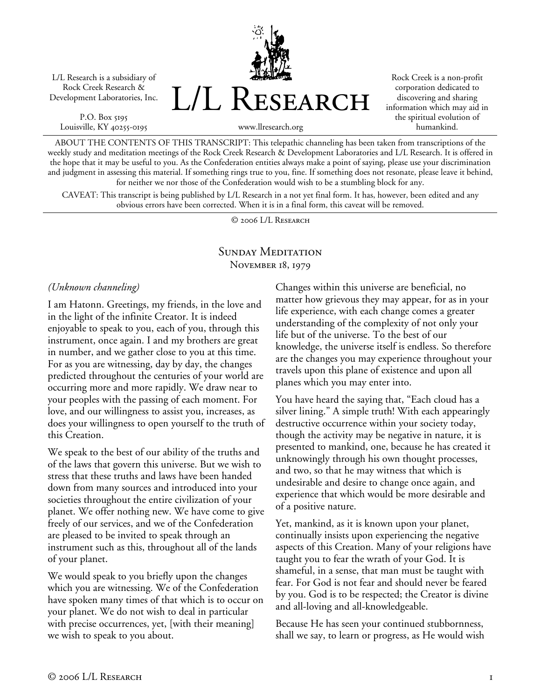L/L Research is a subsidiary of Rock Creek Research & Development Laboratories, Inc.

P.O. Box 5195 Louisville, KY 40255-0195 L/L Research

Rock Creek is a non-profit corporation dedicated to discovering and sharing information which may aid in the spiritual evolution of humankind.

www.llresearch.org

ABOUT THE CONTENTS OF THIS TRANSCRIPT: This telepathic channeling has been taken from transcriptions of the weekly study and meditation meetings of the Rock Creek Research & Development Laboratories and L/L Research. It is offered in the hope that it may be useful to you. As the Confederation entities always make a point of saying, please use your discrimination and judgment in assessing this material. If something rings true to you, fine. If something does not resonate, please leave it behind, for neither we nor those of the Confederation would wish to be a stumbling block for any.

CAVEAT: This transcript is being published by L/L Research in a not yet final form. It has, however, been edited and any obvious errors have been corrected. When it is in a final form, this caveat will be removed.

© 2006 L/L Research

## SUNDAY MEDITATION November 18, 1979

*(Unknown channeling)* 

I am Hatonn. Greetings, my friends, in the love and in the light of the infinite Creator. It is indeed enjoyable to speak to you, each of you, through this instrument, once again. I and my brothers are great in number, and we gather close to you at this time. For as you are witnessing, day by day, the changes predicted throughout the centuries of your world are occurring more and more rapidly. We draw near to your peoples with the passing of each moment. For love, and our willingness to assist you, increases, as does your willingness to open yourself to the truth of this Creation.

We speak to the best of our ability of the truths and of the laws that govern this universe. But we wish to stress that these truths and laws have been handed down from many sources and introduced into your societies throughout the entire civilization of your planet. We offer nothing new. We have come to give freely of our services, and we of the Confederation are pleased to be invited to speak through an instrument such as this, throughout all of the lands of your planet.

We would speak to you briefly upon the changes which you are witnessing. We of the Confederation have spoken many times of that which is to occur on your planet. We do not wish to deal in particular with precise occurrences, yet, [with their meaning] we wish to speak to you about.

Changes within this universe are beneficial, no matter how grievous they may appear, for as in your life experience, with each change comes a greater understanding of the complexity of not only your life but of the universe. To the best of our knowledge, the universe itself is endless. So therefore are the changes you may experience throughout your travels upon this plane of existence and upon all planes which you may enter into.

You have heard the saying that, "Each cloud has a silver lining." A simple truth! With each appearingly destructive occurrence within your society today, though the activity may be negative in nature, it is presented to mankind, one, because he has created it unknowingly through his own thought processes, and two, so that he may witness that which is undesirable and desire to change once again, and experience that which would be more desirable and of a positive nature.

Yet, mankind, as it is known upon your planet, continually insists upon experiencing the negative aspects of this Creation. Many of your religions have taught you to fear the wrath of your God. It is shameful, in a sense, that man must be taught with fear. For God is not fear and should never be feared by you. God is to be respected; the Creator is divine and all-loving and all-knowledgeable.

Because He has seen your continued stubbornness, shall we say, to learn or progress, as He would wish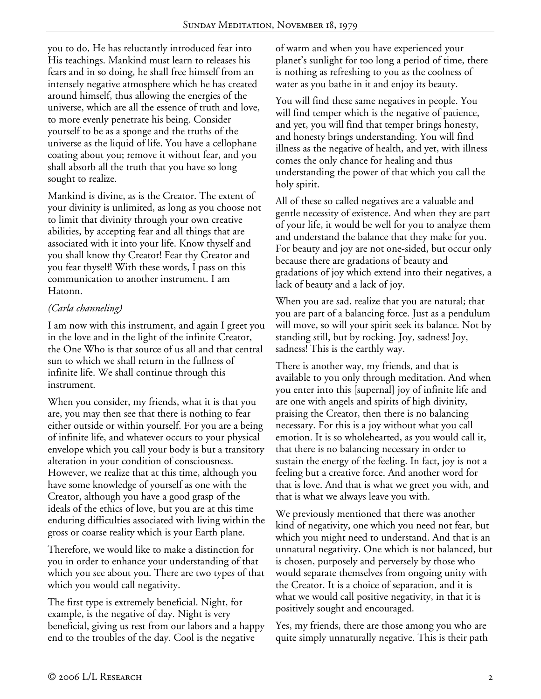you to do, He has reluctantly introduced fear into His teachings. Mankind must learn to releases his fears and in so doing, he shall free himself from an intensely negative atmosphere which he has created around himself, thus allowing the energies of the universe, which are all the essence of truth and love, to more evenly penetrate his being. Consider yourself to be as a sponge and the truths of the universe as the liquid of life. You have a cellophane coating about you; remove it without fear, and you shall absorb all the truth that you have so long sought to realize.

Mankind is divine, as is the Creator. The extent of your divinity is unlimited, as long as you choose not to limit that divinity through your own creative abilities, by accepting fear and all things that are associated with it into your life. Know thyself and you shall know thy Creator! Fear thy Creator and you fear thyself! With these words, I pass on this communication to another instrument. I am Hatonn.

## *(Carla channeling)*

I am now with this instrument, and again I greet you in the love and in the light of the infinite Creator, the One Who is that source of us all and that central sun to which we shall return in the fullness of infinite life. We shall continue through this instrument.

When you consider, my friends, what it is that you are, you may then see that there is nothing to fear either outside or within yourself. For you are a being of infinite life, and whatever occurs to your physical envelope which you call your body is but a transitory alteration in your condition of consciousness. However, we realize that at this time, although you have some knowledge of yourself as one with the Creator, although you have a good grasp of the ideals of the ethics of love, but you are at this time enduring difficulties associated with living within the gross or coarse reality which is your Earth plane.

Therefore, we would like to make a distinction for you in order to enhance your understanding of that which you see about you. There are two types of that which you would call negativity.

The first type is extremely beneficial. Night, for example, is the negative of day. Night is very beneficial, giving us rest from our labors and a happy end to the troubles of the day. Cool is the negative

of warm and when you have experienced your planet's sunlight for too long a period of time, there is nothing as refreshing to you as the coolness of water as you bathe in it and enjoy its beauty.

You will find these same negatives in people. You will find temper which is the negative of patience, and yet, you will find that temper brings honesty, and honesty brings understanding. You will find illness as the negative of health, and yet, with illness comes the only chance for healing and thus understanding the power of that which you call the holy spirit.

All of these so called negatives are a valuable and gentle necessity of existence. And when they are part of your life, it would be well for you to analyze them and understand the balance that they make for you. For beauty and joy are not one-sided, but occur only because there are gradations of beauty and gradations of joy which extend into their negatives, a lack of beauty and a lack of joy.

When you are sad, realize that you are natural; that you are part of a balancing force. Just as a pendulum will move, so will your spirit seek its balance. Not by standing still, but by rocking. Joy, sadness! Joy, sadness! This is the earthly way.

There is another way, my friends, and that is available to you only through meditation. And when you enter into this [supernal] joy of infinite life and are one with angels and spirits of high divinity, praising the Creator, then there is no balancing necessary. For this is a joy without what you call emotion. It is so wholehearted, as you would call it, that there is no balancing necessary in order to sustain the energy of the feeling. In fact, joy is not a feeling but a creative force. And another word for that is love. And that is what we greet you with, and that is what we always leave you with.

We previously mentioned that there was another kind of negativity, one which you need not fear, but which you might need to understand. And that is an unnatural negativity. One which is not balanced, but is chosen, purposely and perversely by those who would separate themselves from ongoing unity with the Creator. It is a choice of separation, and it is what we would call positive negativity, in that it is positively sought and encouraged.

Yes, my friends, there are those among you who are quite simply unnaturally negative. This is their path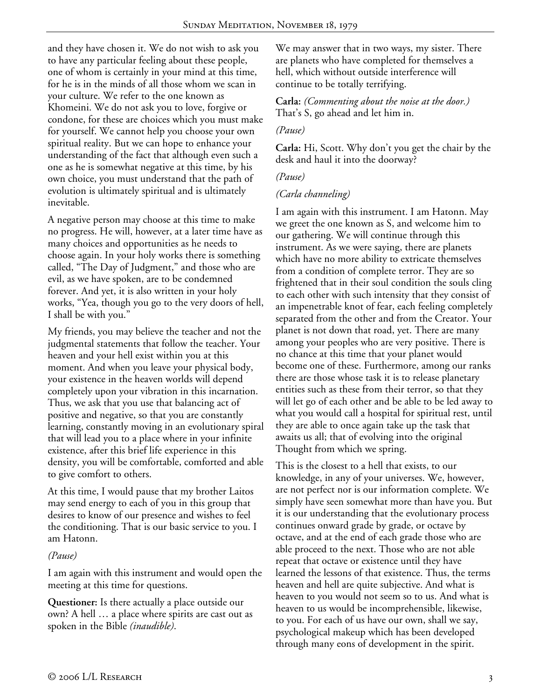and they have chosen it. We do not wish to ask you to have any particular feeling about these people, one of whom is certainly in your mind at this time, for he is in the minds of all those whom we scan in your culture. We refer to the one known as Khomeini. We do not ask you to love, forgive or condone, for these are choices which you must make for yourself. We cannot help you choose your own spiritual reality. But we can hope to enhance your understanding of the fact that although even such a one as he is somewhat negative at this time, by his own choice, you must understand that the path of evolution is ultimately spiritual and is ultimately inevitable.

A negative person may choose at this time to make no progress. He will, however, at a later time have as many choices and opportunities as he needs to choose again. In your holy works there is something called, "The Day of Judgment," and those who are evil, as we have spoken, are to be condemned forever. And yet, it is also written in your holy works, "Yea, though you go to the very doors of hell, I shall be with you."

My friends, you may believe the teacher and not the judgmental statements that follow the teacher. Your heaven and your hell exist within you at this moment. And when you leave your physical body, your existence in the heaven worlds will depend completely upon your vibration in this incarnation. Thus, we ask that you use that balancing act of positive and negative, so that you are constantly learning, constantly moving in an evolutionary spiral that will lead you to a place where in your infinite existence, after this brief life experience in this density, you will be comfortable, comforted and able to give comfort to others.

At this time, I would pause that my brother Laitos may send energy to each of you in this group that desires to know of our presence and wishes to feel the conditioning. That is our basic service to you. I am Hatonn.

## *(Pause)*

I am again with this instrument and would open the meeting at this time for questions.

**Questioner:** Is there actually a place outside our own? A hell … a place where spirits are cast out as spoken in the Bible *(inaudible)*.

We may answer that in two ways, my sister. There are planets who have completed for themselves a hell, which without outside interference will continue to be totally terrifying.

#### **Carla:** *(Commenting about the noise at the door.)* That's S, go ahead and let him in.

#### *(Pause)*

**Carla:** Hi, Scott. Why don't you get the chair by the desk and haul it into the doorway?

#### *(Pause)*

#### *(Carla channeling)*

I am again with this instrument. I am Hatonn. May we greet the one known as S, and welcome him to our gathering. We will continue through this instrument. As we were saying, there are planets which have no more ability to extricate themselves from a condition of complete terror. They are so frightened that in their soul condition the souls cling to each other with such intensity that they consist of an impenetrable knot of fear, each feeling completely separated from the other and from the Creator. Your planet is not down that road, yet. There are many among your peoples who are very positive. There is no chance at this time that your planet would become one of these. Furthermore, among our ranks there are those whose task it is to release planetary entities such as these from their terror, so that they will let go of each other and be able to be led away to what you would call a hospital for spiritual rest, until they are able to once again take up the task that awaits us all; that of evolving into the original Thought from which we spring.

This is the closest to a hell that exists, to our knowledge, in any of your universes. We, however, are not perfect nor is our information complete. We simply have seen somewhat more than have you. But it is our understanding that the evolutionary process continues onward grade by grade, or octave by octave, and at the end of each grade those who are able proceed to the next. Those who are not able repeat that octave or existence until they have learned the lessons of that existence. Thus, the terms heaven and hell are quite subjective. And what is heaven to you would not seem so to us. And what is heaven to us would be incomprehensible, likewise, to you. For each of us have our own, shall we say, psychological makeup which has been developed through many eons of development in the spirit.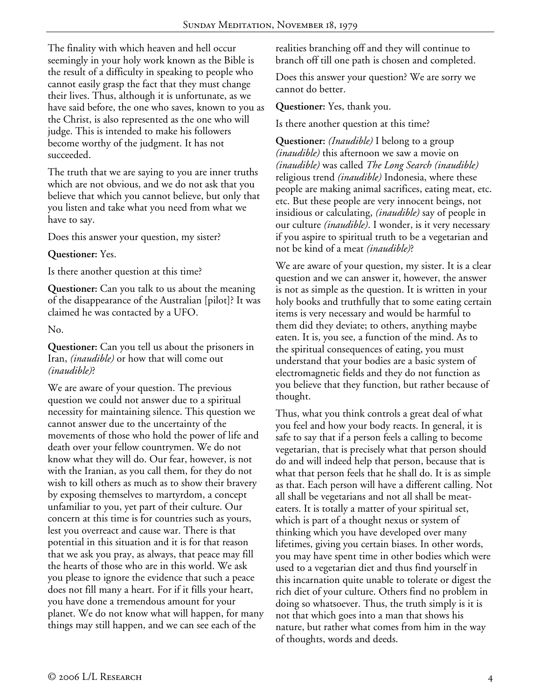The finality with which heaven and hell occur seemingly in your holy work known as the Bible is the result of a difficulty in speaking to people who cannot easily grasp the fact that they must change their lives. Thus, although it is unfortunate, as we have said before, the one who saves, known to you as the Christ, is also represented as the one who will judge. This is intended to make his followers become worthy of the judgment. It has not succeeded.

The truth that we are saying to you are inner truths which are not obvious, and we do not ask that you believe that which you cannot believe, but only that you listen and take what you need from what we have to say.

Does this answer your question, my sister?

**Questioner:** Yes.

Is there another question at this time?

**Questioner:** Can you talk to us about the meaning of the disappearance of the Australian [pilot]? It was claimed he was contacted by a UFO.

No.

**Questioner:** Can you tell us about the prisoners in Iran, *(inaudible)* or how that will come out *(inaudible)*?

We are aware of your question. The previous question we could not answer due to a spiritual necessity for maintaining silence. This question we cannot answer due to the uncertainty of the movements of those who hold the power of life and death over your fellow countrymen. We do not know what they will do. Our fear, however, is not with the Iranian, as you call them, for they do not wish to kill others as much as to show their bravery by exposing themselves to martyrdom, a concept unfamiliar to you, yet part of their culture. Our concern at this time is for countries such as yours, lest you overreact and cause war. There is that potential in this situation and it is for that reason that we ask you pray, as always, that peace may fill the hearts of those who are in this world. We ask you please to ignore the evidence that such a peace does not fill many a heart. For if it fills your heart, you have done a tremendous amount for your planet. We do not know what will happen, for many things may still happen, and we can see each of the

realities branching off and they will continue to branch off till one path is chosen and completed.

Does this answer your question? We are sorry we cannot do better.

**Questioner:** Yes, thank you.

Is there another question at this time?

**Questioner:** *(Inaudible)* I belong to a group *(inaudible)* this afternoon we saw a movie on *(inaudible)* was called *The Long Search (inaudible)* religious trend *(inaudible)* Indonesia, where these people are making animal sacrifices, eating meat, etc. etc. But these people are very innocent beings, not insidious or calculating, *(inaudible)* say of people in our culture *(inaudible)*. I wonder, is it very necessary if you aspire to spiritual truth to be a vegetarian and not be kind of a meat *(inaudible)*?

We are aware of your question, my sister. It is a clear question and we can answer it, however, the answer is not as simple as the question. It is written in your holy books and truthfully that to some eating certain items is very necessary and would be harmful to them did they deviate; to others, anything maybe eaten. It is, you see, a function of the mind. As to the spiritual consequences of eating, you must understand that your bodies are a basic system of electromagnetic fields and they do not function as you believe that they function, but rather because of thought.

Thus, what you think controls a great deal of what you feel and how your body reacts. In general, it is safe to say that if a person feels a calling to become vegetarian, that is precisely what that person should do and will indeed help that person, because that is what that person feels that he shall do. It is as simple as that. Each person will have a different calling. Not all shall be vegetarians and not all shall be meateaters. It is totally a matter of your spiritual set, which is part of a thought nexus or system of thinking which you have developed over many lifetimes, giving you certain biases. In other words, you may have spent time in other bodies which were used to a vegetarian diet and thus find yourself in this incarnation quite unable to tolerate or digest the rich diet of your culture. Others find no problem in doing so whatsoever. Thus, the truth simply is it is not that which goes into a man that shows his nature, but rather what comes from him in the way of thoughts, words and deeds.